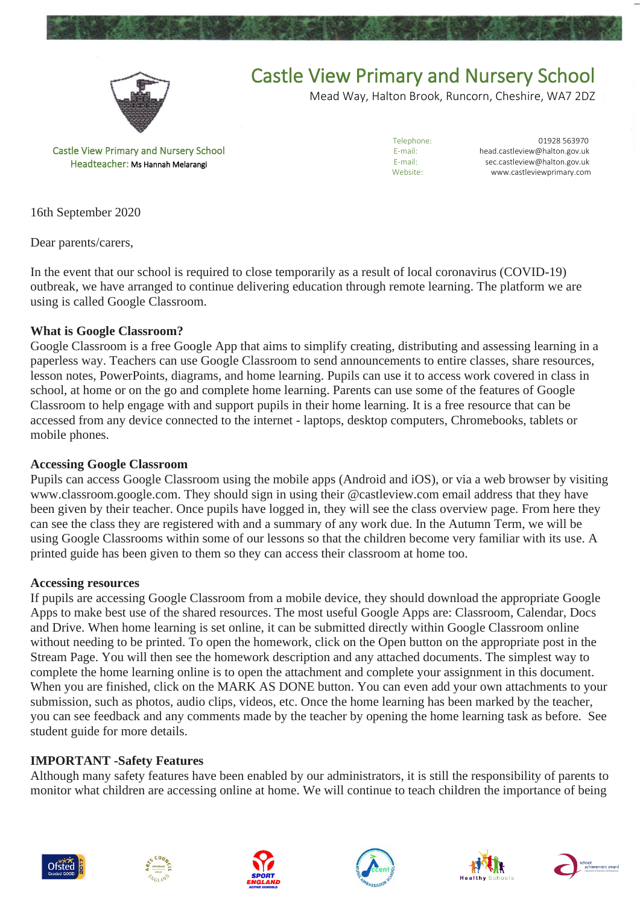



## Castle View Primary and Nursery School

Mead Way, Halton Brook, Runcorn, Cheshire, WA7 2DZ

Castle View Primary and Nursery School Headteacher: Ms Hannah Melarangi

Telephone: 01928 563970<br>E-mail: bead castleview@balton.gov.uk head.castleview@halton.gov.uk E-mail: sec.castleview@halton.gov.uk<br>Website: www.castleviewprimary.com www.castleviewprimary.com

16th September 2020

Dear parents/carers,

In the event that our school is required to close temporarily as a result of local coronavirus (COVID-19) outbreak, we have arranged to continue delivering education through remote learning. The platform we are using is called Google Classroom.

### **What is Google Classroom?**

Google Classroom is a free Google App that aims to simplify creating, distributing and assessing learning in a paperless way. Teachers can use Google Classroom to send announcements to entire classes, share resources, lesson notes, PowerPoints, diagrams, and home learning. Pupils can use it to access work covered in class in school, at home or on the go and complete home learning. Parents can use some of the features of Google Classroom to help engage with and support pupils in their home learning. It is a free resource that can be accessed from any device connected to the internet - laptops, desktop computers, Chromebooks, tablets or mobile phones.

#### **Accessing Google Classroom**

Pupils can access Google Classroom using the mobile apps (Android and iOS), or via a web browser by visiting www.classroom.google.com. They should sign in using their @castleview.com email address that they have been given by their teacher. Once pupils have logged in, they will see the class overview page. From here they can see the class they are registered with and a summary of any work due. In the Autumn Term, we will be using Google Classrooms within some of our lessons so that the children become very familiar with its use. A printed guide has been given to them so they can access their classroom at home too.

#### **Accessing resources**

If pupils are accessing Google Classroom from a mobile device, they should download the appropriate Google Apps to make best use of the shared resources. The most useful Google Apps are: Classroom, Calendar, Docs and Drive. When home learning is set online, it can be submitted directly within Google Classroom online without needing to be printed. To open the homework, click on the Open button on the appropriate post in the Stream Page. You will then see the homework description and any attached documents. The simplest way to complete the home learning online is to open the attachment and complete your assignment in this document. When you are finished, click on the MARK AS DONE button. You can even add your own attachments to your submission, such as photos, audio clips, videos, etc. Once the home learning has been marked by the teacher, you can see feedback and any comments made by the teacher by opening the home learning task as before. See student guide for more details.

#### **IMPORTANT -Safety Features**

Although many safety features have been enabled by our administrators, it is still the responsibility of parents to monitor what children are accessing online at home. We will continue to teach children the importance of being